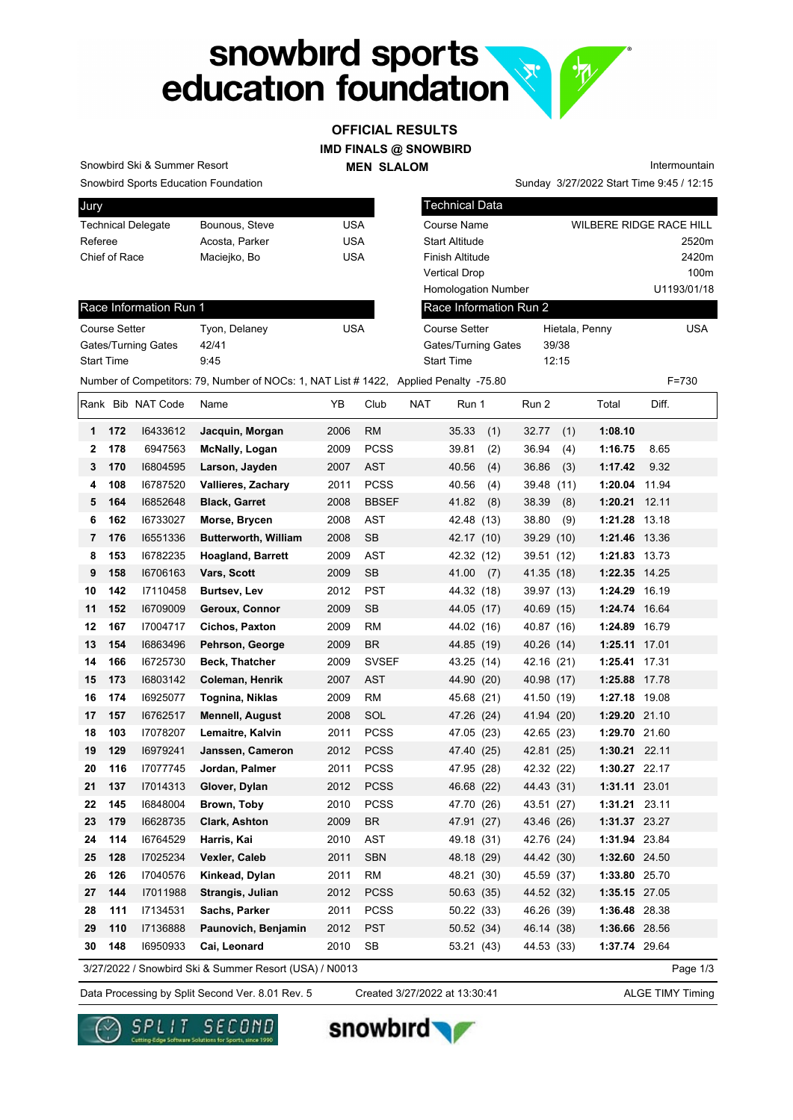# snowbird sports<br>education foundation **VAL.**

#### **IMD FINALS @ SNOWBIRD OFFICIAL RESULTS**

**MEN SLALOM** 

Snowbird Ski & Summer Resort

Snowbird Sports Education Foundation

| Jury                      |                |     |
|---------------------------|----------------|-----|
| <b>Technical Delegate</b> | Bounous, Steve | USA |
| Referee                   | Acosta, Parker | USA |
| Chief of Race             | Maciejko, Bo   | USA |
|                           |                |     |

| Chief of Race              | Maciejko, Bo  | USA        | Finisl<br>Vertio<br>Hom |
|----------------------------|---------------|------------|-------------------------|
| Race Information Run 1     |               |            | Race                    |
| <b>Course Setter</b>       | Tyon, Delaney | <b>USA</b> | Cour                    |
| <b>Gates/Turning Gates</b> | 42/41         |            | Gate                    |
| <b>Start Time</b>          | 9:45          |            | Start                   |

| Technical Data             |                |                                |
|----------------------------|----------------|--------------------------------|
| Course Name                |                | <b>WILBERE RIDGE RACE HILL</b> |
| <b>Start Altitude</b>      |                | 2520m                          |
| <b>Finish Altitude</b>     |                | 2420m                          |
| <b>Vertical Drop</b>       |                | 100m                           |
| <b>Homologation Number</b> |                | U1193/01/18                    |
| Race Information Run 2     |                |                                |
| Course Setter              | Hietala, Penny | <b>USA</b>                     |
| Gates/Turning Gates        | 39/38          |                                |
| <b>Start Time</b>          | 12:15          |                                |
|                            |                |                                |

Sunday 3/27/2022 Start Time 9:45 / 12:15

Intermountain

Number of Competitors: 79, Number of NOCs: 1, NAT List # 1422, Applied Penalty -75.80 F=730

|              |     | Rank Bib NAT Code | Name                                                   | ΥB   | Club         | NAT | Run 1        | Run 2         | Total         | Diff.    |
|--------------|-----|-------------------|--------------------------------------------------------|------|--------------|-----|--------------|---------------|---------------|----------|
| 1            | 172 | 16433612          | Jacquin, Morgan                                        | 2006 | <b>RM</b>    |     | 35.33<br>(1) | 32.77<br>(1)  | 1:08.10       |          |
| $\mathbf{2}$ | 178 | 6947563           | <b>McNally, Logan</b>                                  | 2009 | <b>PCSS</b>  |     | 39.81<br>(2) | 36.94<br>(4)  | 1:16.75       | 8.65     |
| 3            | 170 | 16804595          | Larson, Jayden                                         | 2007 | <b>AST</b>   |     | 40.56<br>(4) | 36.86<br>(3)  | 1:17.42       | 9.32     |
| 4            | 108 | 16787520          | <b>Vallieres, Zachary</b>                              | 2011 | <b>PCSS</b>  |     | 40.56<br>(4) | 39.48<br>(11) | 1:20.04       | 11.94    |
| 5            | 164 | 16852648          | <b>Black, Garret</b>                                   | 2008 | <b>BBSEF</b> |     | 41.82<br>(8) | 38.39<br>(8)  | 1:20.21       | 12.11    |
| 6            | 162 | 16733027          | Morse, Brycen                                          | 2008 | <b>AST</b>   |     | 42.48 (13)   | 38.80<br>(9)  | 1:21.28 13.18 |          |
| 7            | 176 | 16551336          | <b>Butterworth, William</b>                            | 2008 | <b>SB</b>    |     | 42.17 (10)   | 39.29<br>(10) | 1:21.46 13.36 |          |
| 8            | 153 | 16782235          | <b>Hoagland, Barrett</b>                               | 2009 | <b>AST</b>   |     | 42.32 (12)   | 39.51 (12)    | 1:21.83 13.73 |          |
| 9            | 158 | 16706163          | Vars, Scott                                            | 2009 | <b>SB</b>    |     | 41.00<br>(7) | 41.35 (18)    | 1:22.35 14.25 |          |
| 10           | 142 | 17110458          | Burtsev, Lev                                           | 2012 | <b>PST</b>   |     | 44.32 (18)   | 39.97 (13)    | 1:24.29 16.19 |          |
| 11           | 152 | 16709009          | Geroux, Connor                                         | 2009 | <b>SB</b>    |     | 44.05 (17)   | 40.69 (15)    | 1:24.74 16.64 |          |
| 12           | 167 | 17004717          | Cichos, Paxton                                         | 2009 | <b>RM</b>    |     | 44.02 (16)   | 40.87 (16)    | 1:24.89 16.79 |          |
| 13           | 154 | 16863496          | Pehrson, George                                        | 2009 | <b>BR</b>    |     | 44.85 (19)   | 40.26 (14)    | 1:25.11 17.01 |          |
| 14           | 166 | 16725730          | Beck, Thatcher                                         | 2009 | <b>SVSEF</b> |     | 43.25 (14)   | 42.16 (21)    | 1:25.41 17.31 |          |
| 15           | 173 | 16803142          | Coleman, Henrik                                        | 2007 | <b>AST</b>   |     | 44.90 (20)   | 40.98 (17)    | 1:25.88 17.78 |          |
| 16           | 174 | 16925077          | Tognina, Niklas                                        | 2009 | <b>RM</b>    |     | 45.68 (21)   | 41.50 (19)    | 1:27.18 19.08 |          |
| 17           | 157 | 16762517          | <b>Mennell, August</b>                                 | 2008 | SOL          |     | 47.26 (24)   | 41.94 (20)    | 1:29.20 21.10 |          |
| 18           | 103 | 17078207          | Lemaitre, Kalvin                                       | 2011 | <b>PCSS</b>  |     | 47.05 (23)   | 42.65 (23)    | 1:29.70 21.60 |          |
| 19           | 129 | 16979241          | Janssen, Cameron                                       | 2012 | <b>PCSS</b>  |     | 47.40 (25)   | 42.81 (25)    | 1:30.21 22.11 |          |
| 20           | 116 | 17077745          | Jordan, Palmer                                         | 2011 | <b>PCSS</b>  |     | 47.95 (28)   | 42.32 (22)    | 1:30.27 22.17 |          |
| 21           | 137 | 17014313          | Glover, Dylan                                          | 2012 | <b>PCSS</b>  |     | 46.68 (22)   | 44.43 (31)    | 1:31.11 23.01 |          |
| 22           | 145 | 16848004          | Brown, Toby                                            | 2010 | <b>PCSS</b>  |     | 47.70 (26)   | 43.51 (27)    | 1:31.21 23.11 |          |
| 23           | 179 | 16628735          | <b>Clark, Ashton</b>                                   | 2009 | <b>BR</b>    |     | 47.91 (27)   | 43.46 (26)    | 1:31.37 23.27 |          |
| 24           | 114 | 16764529          | Harris, Kai                                            | 2010 | <b>AST</b>   |     | 49.18 (31)   | 42.76 (24)    | 1:31.94 23.84 |          |
| 25           | 128 | 17025234          | Vexler, Caleb                                          | 2011 | <b>SBN</b>   |     | 48.18 (29)   | 44.42 (30)    | 1:32.60 24.50 |          |
| 26           | 126 | 17040576          | Kinkead, Dylan                                         | 2011 | <b>RM</b>    |     | 48.21 (30)   | 45.59 (37)    | 1:33.80 25.70 |          |
| 27           | 144 | 17011988          | Strangis, Julian                                       | 2012 | <b>PCSS</b>  |     | 50.63 (35)   | 44.52 (32)    | 1:35.15 27.05 |          |
| 28           | 111 | 17134531          | Sachs, Parker                                          | 2011 | <b>PCSS</b>  |     | 50.22 (33)   | 46.26 (39)    | 1:36.48 28.38 |          |
| 29           | 110 | 17136888          | Paunovich, Benjamin                                    | 2012 | <b>PST</b>   |     | 50.52 (34)   | 46.14 (38)    | 1:36.66 28.56 |          |
| 30           | 148 | 16950933          | Cai, Leonard                                           | 2010 | <b>SB</b>    |     | 53.21 (43)   | 44.53 (33)    | 1:37.74 29.64 |          |
|              |     |                   | 3/27/2022 / Snowbird Ski & Summer Resort (USA) / N0013 |      |              |     |              |               |               | Page 1/3 |

Data Processing by Split Second Ver. 8.01 Rev. 5 Created 3/27/2022 at 13:30:41 ALGE TIMY Timing

Created 3/27/2022 at 13:30:41





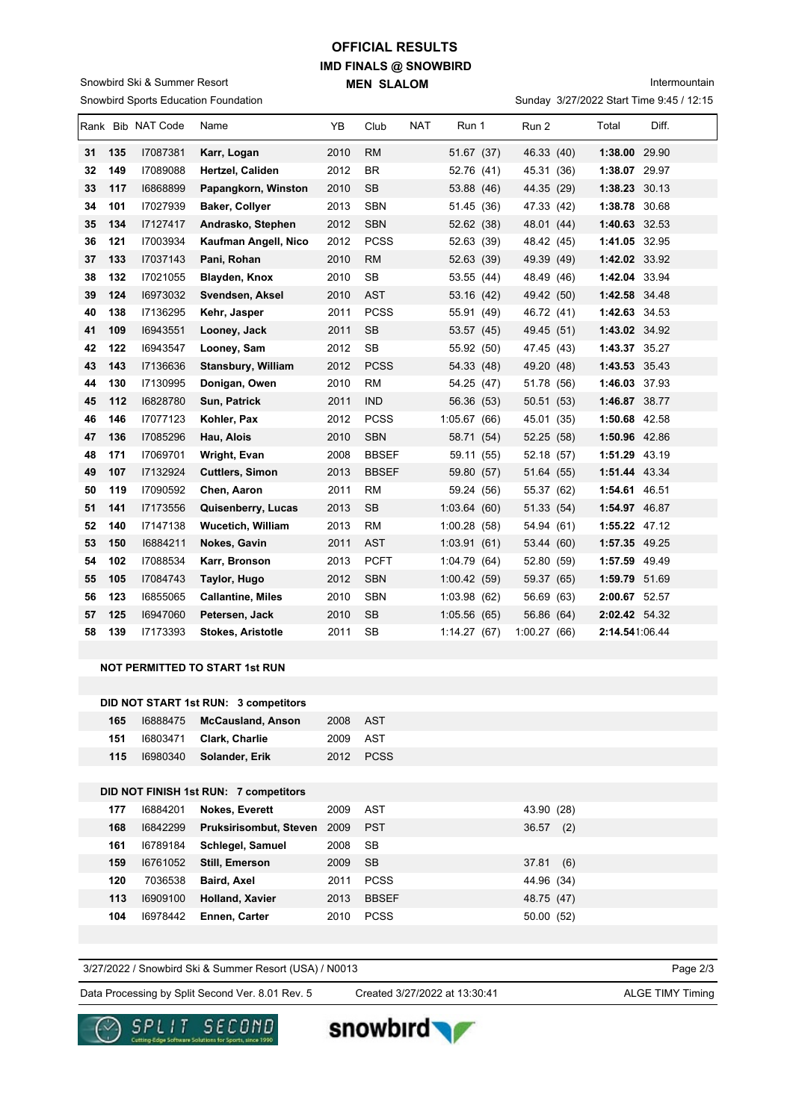## **IMD FINALS @ SNOWBIRD MEN SLALOM OFFICIAL RESULTS**

Snowbird Sports Education Foundation Snowbird Ski & Summer Resort

### Intermountain

Sunday 3/27/2022 Start Time 9:45 / 12:15

|    |     | Rank Bib NAT Code | Name                      | YB   | Club         | <b>NAT</b> | Run 1       | Run 2       | Total          | Diff. |
|----|-----|-------------------|---------------------------|------|--------------|------------|-------------|-------------|----------------|-------|
| 31 | 135 | 17087381          | Karr, Logan               | 2010 | <b>RM</b>    |            | 51.67 (37)  | 46.33 (40)  | 1:38.00 29.90  |       |
| 32 | 149 | 17089088          | Hertzel, Caliden          | 2012 | <b>BR</b>    |            | 52.76 (41)  | 45.31 (36)  | 1:38.07 29.97  |       |
| 33 | 117 | 16868899          | Papangkorn, Winston       | 2010 | <b>SB</b>    |            | 53.88 (46)  | 44.35 (29)  | 1:38.23 30.13  |       |
| 34 | 101 | 17027939          | <b>Baker, Collyer</b>     | 2013 | <b>SBN</b>   |            | 51.45 (36)  | 47.33 (42)  | 1:38.78 30.68  |       |
| 35 | 134 | 17127417          | Andrasko, Stephen         | 2012 | <b>SBN</b>   |            | 52.62 (38)  | 48.01 (44)  | 1:40.63 32.53  |       |
| 36 | 121 | 17003934          | Kaufman Angell, Nico      | 2012 | <b>PCSS</b>  |            | 52.63 (39)  | 48.42 (45)  | 1:41.05 32.95  |       |
| 37 | 133 | 17037143          | Pani, Rohan               | 2010 | <b>RM</b>    |            | 52.63 (39)  | 49.39 (49)  | 1:42.02 33.92  |       |
| 38 | 132 | 17021055          | Blayden, Knox             | 2010 | <b>SB</b>    |            | 53.55 (44)  | 48.49 (46)  | 1:42.04 33.94  |       |
| 39 | 124 | 16973032          | Svendsen, Aksel           | 2010 | <b>AST</b>   |            | 53.16 (42)  | 49.42 (50)  | 1:42.58 34.48  |       |
| 40 | 138 | I7136295          | Kehr, Jasper              | 2011 | <b>PCSS</b>  |            | 55.91 (49)  | 46.72 (41)  | 1:42.63 34.53  |       |
| 41 | 109 | 16943551          | Looney, Jack              | 2011 | <b>SB</b>    |            | 53.57 (45)  | 49.45 (51)  | 1:43.02 34.92  |       |
| 42 | 122 | 16943547          | Looney, Sam               | 2012 | <b>SB</b>    |            | 55.92 (50)  | 47.45 (43)  | 1:43.37 35.27  |       |
| 43 | 143 | 17136636          | <b>Stansbury, William</b> | 2012 | <b>PCSS</b>  |            | 54.33 (48)  | 49.20 (48)  | 1:43.53 35.43  |       |
| 44 | 130 | 17130995          | Donigan, Owen             | 2010 | <b>RM</b>    |            | 54.25 (47)  | 51.78 (56)  | 1:46.03 37.93  |       |
| 45 | 112 | 16828780          | Sun, Patrick              | 2011 | <b>IND</b>   |            | 56.36 (53)  | 50.51 (53)  | 1:46.87 38.77  |       |
| 46 | 146 | 17077123          | Kohler, Pax               | 2012 | <b>PCSS</b>  |            | 1:05.67(66) | 45.01 (35)  | 1:50.68 42.58  |       |
| 47 | 136 | 17085296          | Hau, Alois                | 2010 | <b>SBN</b>   |            | 58.71 (54)  | 52.25 (58)  | 1:50.96 42.86  |       |
| 48 | 171 | 17069701          | Wright, Evan              | 2008 | <b>BBSEF</b> |            | 59.11 (55)  | 52.18 (57)  | 1:51.29 43.19  |       |
| 49 | 107 | 17132924          | <b>Cuttlers, Simon</b>    | 2013 | <b>BBSEF</b> |            | 59.80 (57)  | 51.64 (55)  | 1:51.44 43.34  |       |
| 50 | 119 | 17090592          | Chen, Aaron               | 2011 | <b>RM</b>    |            | 59.24 (56)  | 55.37 (62)  | 1:54.61 46.51  |       |
| 51 | 141 | 17173556          | Quisenberry, Lucas        | 2013 | <b>SB</b>    |            | 1:03.64(60) | 51.33 (54)  | 1:54.97 46.87  |       |
| 52 | 140 | 17147138          | <b>Wucetich, William</b>  | 2013 | <b>RM</b>    |            | 1:00.28(58) | 54.94 (61)  | 1:55.22 47.12  |       |
| 53 | 150 | 16884211          | Nokes, Gavin              | 2011 | <b>AST</b>   |            | 1:03.91(61) | 53.44 (60)  | 1:57.35 49.25  |       |
| 54 | 102 | 17088534          | Karr, Bronson             | 2013 | <b>PCFT</b>  |            | 1:04.79(64) | 52.80 (59)  | 1:57.59 49.49  |       |
| 55 | 105 | 17084743          | Taylor, Hugo              | 2012 | <b>SBN</b>   |            | 1:00.42(59) | 59.37 (65)  | 1:59.79 51.69  |       |
| 56 | 123 | 16855065          | <b>Callantine, Miles</b>  | 2010 | <b>SBN</b>   |            | 1:03.98(62) | 56.69 (63)  | 2:00.67 52.57  |       |
| 57 | 125 | 16947060          | Petersen, Jack            | 2010 | <b>SB</b>    |            | 1:05.56(65) | 56.86 (64)  | 2:02.42 54.32  |       |
| 58 | 139 | 17173393          | <b>Stokes, Aristotle</b>  | 2011 | <b>SB</b>    |            | 1:14.27(67) | 1:00.27(66) | 2:14.541:06.44 |       |
|    |     |                   |                           |      |              |            |             |             |                |       |

#### **NOT PERMITTED TO START 1st RUN**

|     | DID NOT START 1st RUN: 3 competitors |          |           |
|-----|--------------------------------------|----------|-----------|
| 165 | 16888475 McCausland, Anson           | 2008 AST |           |
| 151 | 16803471 Clark, Charlie              | 2009 AST |           |
| 115 | 16980340 <b>Solander, Erik</b>       |          | 2012 PCSS |

#### **DID NOT FINISH 1st RUN: 7 competitors**

| 177 | 16884201 | <b>Nokes, Everett</b>  | 2009 | AST          | 43.90 (28)   |
|-----|----------|------------------------|------|--------------|--------------|
| 168 | 16842299 | Pruksirisombut, Steven | 2009 | <b>PST</b>   | 36.57<br>(2) |
| 161 | 16789184 | Schlegel, Samuel       | 2008 | SB           |              |
| 159 | 16761052 | Still, Emerson         | 2009 | - SB         | 37.81<br>(6) |
| 120 | 7036538  | <b>Baird Axel</b>      | 2011 | <b>PCSS</b>  | 44.96 (34)   |
| 113 | 16909100 | <b>Holland, Xavier</b> | 2013 | <b>BBSEF</b> | 48.75 (47)   |
| 104 | 16978442 | Ennen. Carter          | 2010 | <b>PCSS</b>  | 50.00 (52)   |
|     |          |                        |      |              |              |

3/27/2022 / Snowbird Ski & Summer Resort (USA) / N0013

Page 2/3

Data Processing by Split Second Ver. 8.01 Rev. 5 Created 3/27/2022 at 13:30:41 ALGE TIMY Timing

Created 3/27/2022 at 13:30:41